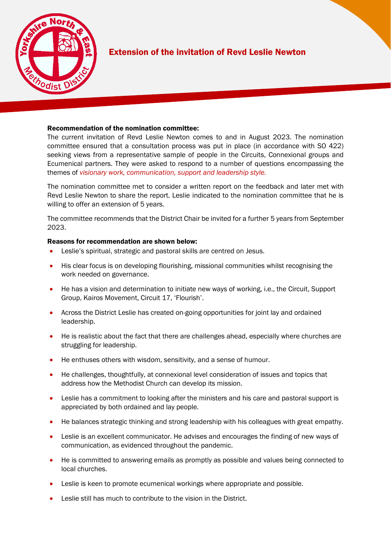

## Extension of the invitation of Revd Leslie Newton

l,

## Recommendation of the nomination committee:

The current invitation of Revd Leslie Newton comes to and in August 2023. The nomination committee ensured that a consultation process was put in place (in accordance with SO 422) seeking views from a representative sample of people in the Circuits, Connexional groups and Ecumenical partners. They were asked to respond to a number of questions encompassing the themes of *visionary work, communication, support and leadership style.*

The nomination committee met to consider a written report on the feedback and later met with Revd Leslie Newton to share the report. Leslie indicated to the nomination committee that he is willing to offer an extension of 5 years.

The committee recommends that the District Chair be invited for a further 5 years from September 2023.

## Reasons for recommendation are shown below:

- Leslie's spiritual, strategic and pastoral skills are centred on Jesus.
- His clear focus is on developing flourishing, missional communities whilst recognising the work needed on governance.
- He has a vision and determination to initiate new ways of working, i.e., the Circuit, Support Group, Kairos Movement, Circuit 17, 'Flourish'.
- Across the District Leslie has created on-going opportunities for joint lay and ordained leadership.
- He is realistic about the fact that there are challenges ahead, especially where churches are struggling for leadership.
- He enthuses others with wisdom, sensitivity, and a sense of humour.
- He challenges, thoughtfully, at connexional level consideration of issues and topics that address how the Methodist Church can develop its mission.
- Leslie has a commitment to looking after the ministers and his care and pastoral support is appreciated by both ordained and lay people.
- He balances strategic thinking and strong leadership with his colleagues with great empathy.
- Leslie is an excellent communicator. He advises and encourages the finding of new ways of communication, as evidenced throughout the pandemic.
- He is committed to answering emails as promptly as possible and values being connected to local churches.
- Leslie is keen to promote ecumenical workings where appropriate and possible.
- Leslie still has much to contribute to the vision in the District.